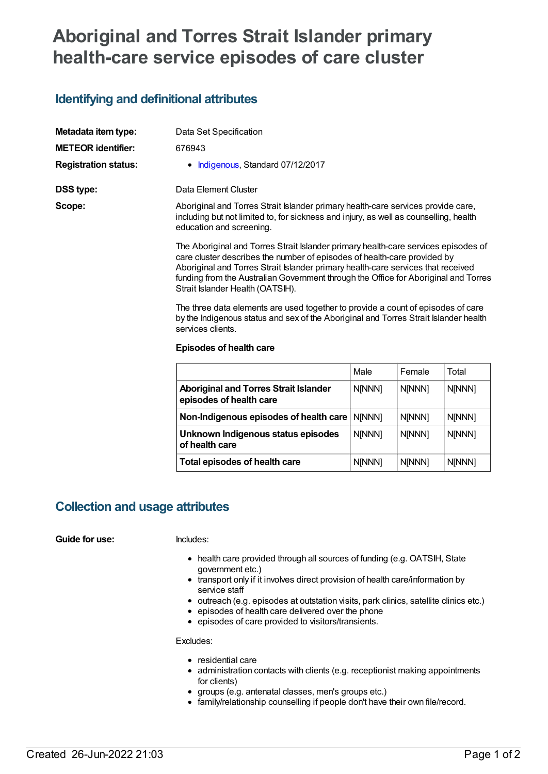# **Aboriginal and Torres Strait Islander primary health-care service episodes of care cluster**

# **Identifying and definitional attributes**

| Metadata item type:         | Data Set Specification                                                                                                                                                                                                                             |  |
|-----------------------------|----------------------------------------------------------------------------------------------------------------------------------------------------------------------------------------------------------------------------------------------------|--|
| <b>METEOR identifier:</b>   | 676943                                                                                                                                                                                                                                             |  |
| <b>Registration status:</b> | • Indigenous, Standard 07/12/2017                                                                                                                                                                                                                  |  |
| DSS type:                   | Data Element Cluster                                                                                                                                                                                                                               |  |
| Scope:                      | Aboriginal and Torres Strait Islander primary health-care services provide care,<br>including but not limited to, for sickness and injury, as well as counselling, health<br>education and screening.                                              |  |
|                             | The Aboriginal and Torres Strait Islander primary health-care services episodes of<br>care cluster describes the number of episodes of health-care provided by<br>Aboriginal and Torres Strait Islander primary health-care senvices that received |  |

Aboriginal and Torres Strait Islander primary nealth-care services that received funding from the Australian Government through the Office for Aboriginal and Torres Strait Islander Health (OATSIH).

The three data elements are used together to provide a count of episodes of care by the Indigenous status and sex of the Aboriginal and Torres Strait Islander health services clients.

#### **Episodes of health care**

|                                                                         | Male          | Female        | Total         |
|-------------------------------------------------------------------------|---------------|---------------|---------------|
| <b>Aboriginal and Torres Strait Islander</b><br>episodes of health care | <b>N[NNN]</b> | <b>N[NNN]</b> | <b>N[NNN]</b> |
| Non-Indigenous episodes of health care                                  | <b>NINNN1</b> | <b>N[NNN]</b> | <b>N[NNN]</b> |
| Unknown Indigenous status episodes<br>of health care                    | N[NNN]        | N[NNN]        | N[NNN]        |
| Total episodes of health care                                           | <b>N[NNN]</b> | <b>N[NNN]</b> | <b>N[NNN]</b> |

# **Collection and usage attributes**

#### **Guide for use:** Includes:

- health care provided through all sources of funding (e.g. OATSIH, State government etc.)
- transport only if it involves direct provision of health care/information by service staff
- outreach (e.g. episodes at outstation visits, park clinics, satellite clinics etc.)
- $\bullet$  episodes of health care delivered over the phone
- episodes of care provided to visitors/transients.

Excludes:

- residential care
- administration contacts with clients (e.g. receptionist making appointments for clients)
- groups (e.g. antenatal classes, men's groups etc.)
- family/relationship counselling if people don't have their own file/record.